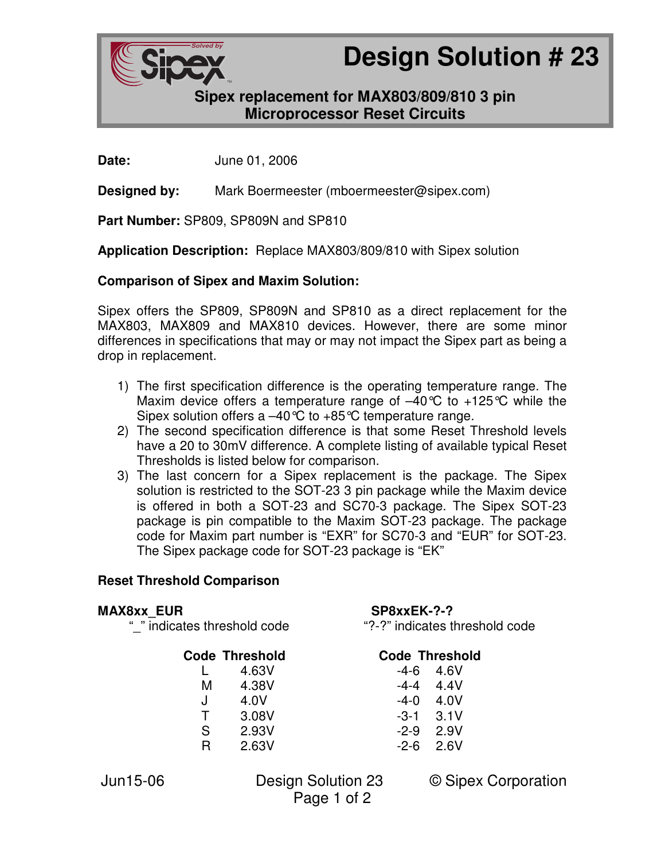

# **Design Solution # 23**

# **Sipex replacement for MAX803/809/810 3 pin Microprocessor Reset Circuits**

**Date:** June 01, 2006

**Designed by:** Mark Boermeester (mboermeester@sipex.com)

**Part Number:** SP809, SP809N and SP810

**Application Description:** Replace MAX803/809/810 with Sipex solution

## **Comparison of Sipex and Maxim Solution:**

Sipex offers the SP809, SP809N and SP810 as a direct replacement for the MAX803, MAX809 and MAX810 devices. However, there are some minor differences in specifications that may or may not impact the Sipex part as being a drop in replacement.

- 1) The first specification difference is the operating temperature range. The Maxim device offers a temperature range of  $-40^{\circ}$ C to  $+125^{\circ}$ C while the Sipex solution offers a  $-40^{\circ}C$  to  $+85^{\circ}C$  temperature range.
- 2) The second specification difference is that some Reset Threshold levels have a 20 to 30mV difference. A complete listing of available typical Reset Thresholds is listed below for comparison.
- 3) The last concern for a Sipex replacement is the package. The Sipex solution is restricted to the SOT-23 3 pin package while the Maxim device is offered in both a SOT-23 and SC70-3 package. The Sipex SOT-23 package is pin compatible to the Maxim SOT-23 package. The package code for Maxim part number is "EXR" for SC70-3 and "EUR" for SOT-23. The Sipex package code for SOT-23 package is "EK"

## **Reset Threshold Comparison**

#### MAX8xx EUR SP8xxEK-?-?

| <b>Code Threshold</b> | <b>Code Thresho</b> |                   |
|-----------------------|---------------------|-------------------|
| 4.63V                 |                     | $-4 - 6$ $-4.6$ V |
| 4.38V                 |                     | $-4 - 4$ 4 4 V    |
| 4.0V                  | -4-0                | -4.0V             |
| 3.08V                 |                     | $-3-1$ $3.1$ V    |
|                       |                     |                   |

# $S$  2.93V  $R$  2.63V

"\_" indicates threshold code "?-?" indicates threshold code

## **Code Threshold Code Threshold**

| -4-6 | 4.6V |
|------|------|
| -4-4 | 4.4V |
| -4-0 | 4.0V |
| -3-1 | 3.1V |
| -2-9 | 2.9V |
| -2-6 | 2.6V |

Page 1 of 2

Jun15-06 Design Solution 23 © Sipex Corporation